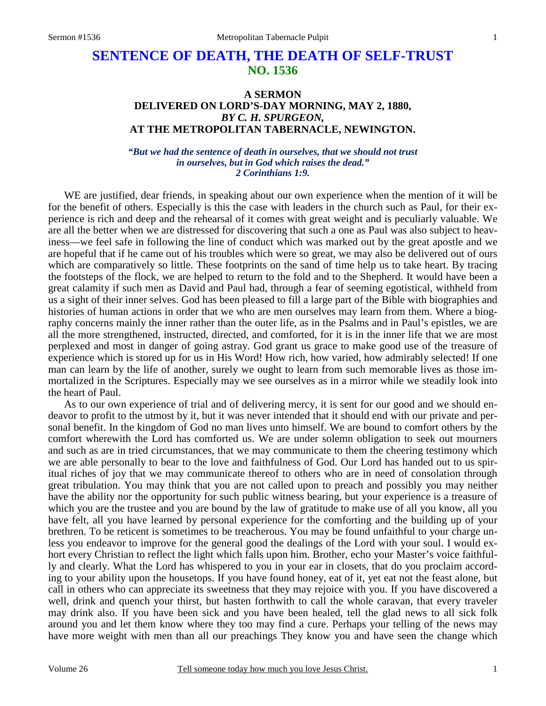# **SENTENCE OF DEATH, THE DEATH OF SELF-TRUST NO. 1536**

### **A SERMON DELIVERED ON LORD'S-DAY MORNING, MAY 2, 1880,**  *BY C. H. SPURGEON,*  **AT THE METROPOLITAN TABERNACLE, NEWINGTON.**

#### *"But we had the sentence of death in ourselves, that we should not trust in ourselves, but in God which raises the dead." 2 Corinthians 1:9.*

WE are justified, dear friends, in speaking about our own experience when the mention of it will be for the benefit of others. Especially is this the case with leaders in the church such as Paul, for their experience is rich and deep and the rehearsal of it comes with great weight and is peculiarly valuable. We are all the better when we are distressed for discovering that such a one as Paul was also subject to heaviness—we feel safe in following the line of conduct which was marked out by the great apostle and we are hopeful that if he came out of his troubles which were so great, we may also be delivered out of ours which are comparatively so little. These footprints on the sand of time help us to take heart. By tracing the footsteps of the flock, we are helped to return to the fold and to the Shepherd. It would have been a great calamity if such men as David and Paul had, through a fear of seeming egotistical, withheld from us a sight of their inner selves. God has been pleased to fill a large part of the Bible with biographies and histories of human actions in order that we who are men ourselves may learn from them. Where a biography concerns mainly the inner rather than the outer life, as in the Psalms and in Paul's epistles, we are all the more strengthened, instructed, directed, and comforted, for it is in the inner life that we are most perplexed and most in danger of going astray. God grant us grace to make good use of the treasure of experience which is stored up for us in His Word! How rich, how varied, how admirably selected! If one man can learn by the life of another, surely we ought to learn from such memorable lives as those immortalized in the Scriptures. Especially may we see ourselves as in a mirror while we steadily look into the heart of Paul.

 As to our own experience of trial and of delivering mercy, it is sent for our good and we should endeavor to profit to the utmost by it, but it was never intended that it should end with our private and personal benefit. In the kingdom of God no man lives unto himself. We are bound to comfort others by the comfort wherewith the Lord has comforted us. We are under solemn obligation to seek out mourners and such as are in tried circumstances, that we may communicate to them the cheering testimony which we are able personally to bear to the love and faithfulness of God. Our Lord has handed out to us spiritual riches of joy that we may communicate thereof to others who are in need of consolation through great tribulation. You may think that you are not called upon to preach and possibly you may neither have the ability nor the opportunity for such public witness bearing, but your experience is a treasure of which you are the trustee and you are bound by the law of gratitude to make use of all you know, all you have felt, all you have learned by personal experience for the comforting and the building up of your brethren. To be reticent is sometimes to be treacherous. You may be found unfaithful to your charge unless you endeavor to improve for the general good the dealings of the Lord with your soul. I would exhort every Christian to reflect the light which falls upon him. Brother, echo your Master's voice faithfully and clearly. What the Lord has whispered to you in your ear in closets, that do you proclaim according to your ability upon the housetops. If you have found honey, eat of it, yet eat not the feast alone, but call in others who can appreciate its sweetness that they may rejoice with you. If you have discovered a well, drink and quench your thirst, but hasten forthwith to call the whole caravan, that every traveler may drink also. If you have been sick and you have been healed, tell the glad news to all sick folk around you and let them know where they too may find a cure. Perhaps your telling of the news may have more weight with men than all our preachings They know you and have seen the change which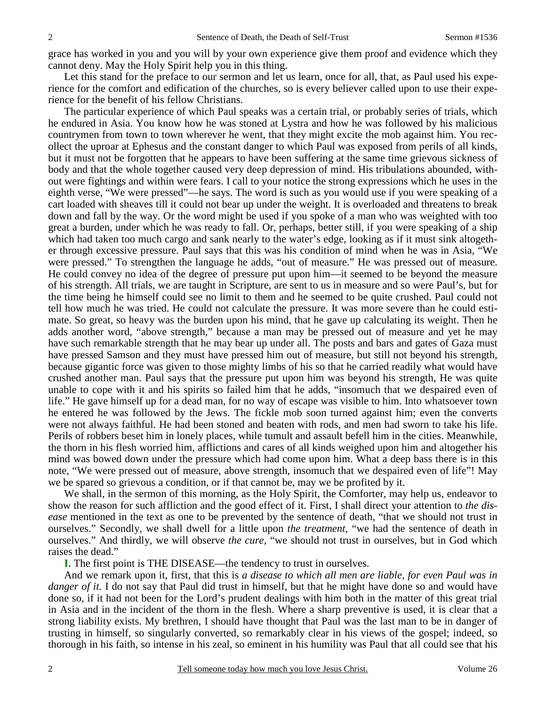grace has worked in you and you will by your own experience give them proof and evidence which they cannot deny. May the Holy Spirit help you in this thing.

Let this stand for the preface to our sermon and let us learn, once for all, that, as Paul used his experience for the comfort and edification of the churches, so is every believer called upon to use their experience for the benefit of his fellow Christians.

 The particular experience of which Paul speaks was a certain trial, or probably series of trials, which he endured in Asia. You know how he was stoned at Lystra and how he was followed by his malicious countrymen from town to town wherever he went, that they might excite the mob against him. You recollect the uproar at Ephesus and the constant danger to which Paul was exposed from perils of all kinds, but it must not be forgotten that he appears to have been suffering at the same time grievous sickness of body and that the whole together caused very deep depression of mind. His tribulations abounded, without were fightings and within were fears. I call to your notice the strong expressions which he uses in the eighth verse, "We were pressed"—he says. The word is such as you would use if you were speaking of a cart loaded with sheaves till it could not bear up under the weight. It is overloaded and threatens to break down and fall by the way. Or the word might be used if you spoke of a man who was weighted with too great a burden, under which he was ready to fall. Or, perhaps, better still, if you were speaking of a ship which had taken too much cargo and sank nearly to the water's edge, looking as if it must sink altogether through excessive pressure. Paul says that this was his condition of mind when he was in Asia, "We were pressed." To strengthen the language he adds, "out of measure." He was pressed out of measure. He could convey no idea of the degree of pressure put upon him—it seemed to be beyond the measure of his strength. All trials, we are taught in Scripture, are sent to us in measure and so were Paul's, but for the time being he himself could see no limit to them and he seemed to be quite crushed. Paul could not tell how much he was tried. He could not calculate the pressure. It was more severe than he could estimate. So great, so heavy was the burden upon his mind, that he gave up calculating its weight. Then he adds another word, "above strength," because a man may be pressed out of measure and yet he may have such remarkable strength that he may bear up under all. The posts and bars and gates of Gaza must have pressed Samson and they must have pressed him out of measure, but still not beyond his strength, because gigantic force was given to those mighty limbs of his so that he carried readily what would have crushed another man. Paul says that the pressure put upon him was beyond his strength, He was quite unable to cope with it and his spirits so failed him that he adds, "insomuch that we despaired even of life." He gave himself up for a dead man, for no way of escape was visible to him. Into whatsoever town he entered he was followed by the Jews. The fickle mob soon turned against him; even the converts were not always faithful. He had been stoned and beaten with rods, and men had sworn to take his life. Perils of robbers beset him in lonely places, while tumult and assault befell him in the cities. Meanwhile, the thorn in his flesh worried him, afflictions and cares of all kinds weighed upon him and altogether his mind was bowed down under the pressure which had come upon him. What a deep bass there is in this note, "We were pressed out of measure, above strength, insomuch that we despaired even of life"! May we be spared so grievous a condition, or if that cannot be, may we be profited by it.

 We shall, in the sermon of this morning, as the Holy Spirit, the Comforter, may help us, endeavor to show the reason for such affliction and the good effect of it. First, I shall direct your attention to *the disease* mentioned in the text as one to be prevented by the sentence of death, "that we should not trust in ourselves." Secondly, we shall dwell for a little upon *the treatment,* "we had the sentence of death in ourselves." And thirdly, we will observe *the cure,* "we should not trust in ourselves, but in God which raises the dead."

**I.** The first point is THE DISEASE—the tendency to trust in ourselves.

 And we remark upon it, first, that this is *a disease to which all men are liable, for even Paul was in danger of it.* I do not say that Paul did trust in himself, but that he might have done so and would have done so, if it had not been for the Lord's prudent dealings with him both in the matter of this great trial in Asia and in the incident of the thorn in the flesh. Where a sharp preventive is used, it is clear that a strong liability exists. My brethren, I should have thought that Paul was the last man to be in danger of trusting in himself, so singularly converted, so remarkably clear in his views of the gospel; indeed, so thorough in his faith, so intense in his zeal, so eminent in his humility was Paul that all could see that his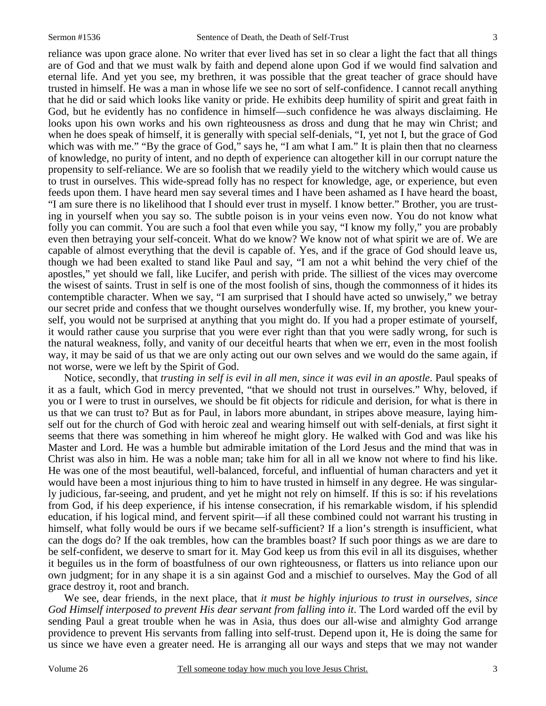reliance was upon grace alone. No writer that ever lived has set in so clear a light the fact that all things are of God and that we must walk by faith and depend alone upon God if we would find salvation and eternal life. And yet you see, my brethren, it was possible that the great teacher of grace should have trusted in himself. He was a man in whose life we see no sort of self-confidence. I cannot recall anything that he did or said which looks like vanity or pride. He exhibits deep humility of spirit and great faith in God, but he evidently has no confidence in himself—such confidence he was always disclaiming. He looks upon his own works and his own righteousness as dross and dung that he may win Christ; and when he does speak of himself, it is generally with special self-denials, "I, yet not I, but the grace of God which was with me." "By the grace of God," says he, "I am what I am." It is plain then that no clearness of knowledge, no purity of intent, and no depth of experience can altogether kill in our corrupt nature the propensity to self-reliance. We are so foolish that we readily yield to the witchery which would cause us to trust in ourselves. This wide-spread folly has no respect for knowledge, age, or experience, but even feeds upon them. I have heard men say several times and I have been ashamed as I have heard the boast, "I am sure there is no likelihood that I should ever trust in myself. I know better." Brother, you are trusting in yourself when you say so. The subtle poison is in your veins even now. You do not know what folly you can commit. You are such a fool that even while you say, "I know my folly," you are probably even then betraying your self-conceit. What do we know? We know not of what spirit we are of. We are capable of almost everything that the devil is capable of. Yes, and if the grace of God should leave us, though we had been exalted to stand like Paul and say, "I am not a whit behind the very chief of the apostles," yet should we fall, like Lucifer, and perish with pride. The silliest of the vices may overcome the wisest of saints. Trust in self is one of the most foolish of sins, though the commonness of it hides its contemptible character. When we say, "I am surprised that I should have acted so unwisely," we betray our secret pride and confess that we thought ourselves wonderfully wise. If, my brother, you knew yourself, you would not be surprised at anything that you might do. If you had a proper estimate of yourself, it would rather cause you surprise that you were ever right than that you were sadly wrong, for such is the natural weakness, folly, and vanity of our deceitful hearts that when we err, even in the most foolish way, it may be said of us that we are only acting out our own selves and we would do the same again, if not worse, were we left by the Spirit of God.

 Notice, secondly, that *trusting in self is evil in all men, since it was evil in an apostle*. Paul speaks of it as a fault, which God in mercy prevented, "that we should not trust in ourselves." Why, beloved, if you or I were to trust in ourselves, we should be fit objects for ridicule and derision, for what is there in us that we can trust to? But as for Paul, in labors more abundant, in stripes above measure, laying himself out for the church of God with heroic zeal and wearing himself out with self-denials, at first sight it seems that there was something in him whereof he might glory. He walked with God and was like his Master and Lord. He was a humble but admirable imitation of the Lord Jesus and the mind that was in Christ was also in him. He was a noble man; take him for all in all we know not where to find his like. He was one of the most beautiful, well-balanced, forceful, and influential of human characters and yet it would have been a most injurious thing to him to have trusted in himself in any degree. He was singularly judicious, far-seeing, and prudent, and yet he might not rely on himself. If this is so: if his revelations from God, if his deep experience, if his intense consecration, if his remarkable wisdom, if his splendid education, if his logical mind, and fervent spirit—if all these combined could not warrant his trusting in himself, what folly would be ours if we became self-sufficient? If a lion's strength is insufficient, what can the dogs do? If the oak trembles, how can the brambles boast? If such poor things as we are dare to be self-confident, we deserve to smart for it. May God keep us from this evil in all its disguises, whether it beguiles us in the form of boastfulness of our own righteousness, or flatters us into reliance upon our own judgment; for in any shape it is a sin against God and a mischief to ourselves. May the God of all grace destroy it, root and branch.

 We see, dear friends, in the next place, that *it must be highly injurious to trust in ourselves, since*  God Himself interposed to prevent His dear servant from falling into it. The Lord warded off the evil by sending Paul a great trouble when he was in Asia, thus does our all-wise and almighty God arrange providence to prevent His servants from falling into self-trust. Depend upon it, He is doing the same for us since we have even a greater need. He is arranging all our ways and steps that we may not wander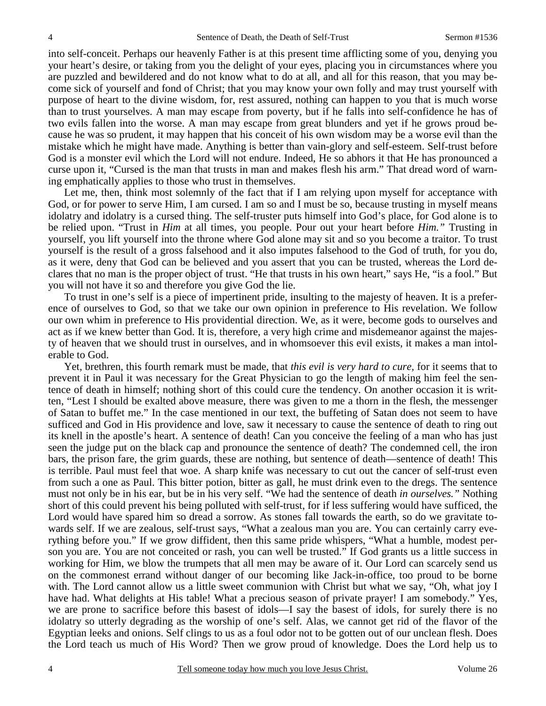into self-conceit. Perhaps our heavenly Father is at this present time afflicting some of you, denying you your heart's desire, or taking from you the delight of your eyes, placing you in circumstances where you are puzzled and bewildered and do not know what to do at all, and all for this reason, that you may become sick of yourself and fond of Christ; that you may know your own folly and may trust yourself with purpose of heart to the divine wisdom, for, rest assured, nothing can happen to you that is much worse than to trust yourselves. A man may escape from poverty, but if he falls into self-confidence he has of two evils fallen into the worse. A man may escape from great blunders and yet if he grows proud because he was so prudent, it may happen that his conceit of his own wisdom may be a worse evil than the mistake which he might have made. Anything is better than vain-glory and self-esteem. Self-trust before God is a monster evil which the Lord will not endure. Indeed, He so abhors it that He has pronounced a curse upon it, "Cursed is the man that trusts in man and makes flesh his arm." That dread word of warning emphatically applies to those who trust in themselves.

Let me, then, think most solemnly of the fact that if I am relying upon myself for acceptance with God, or for power to serve Him, I am cursed. I am so and I must be so, because trusting in myself means idolatry and idolatry is a cursed thing. The self-truster puts himself into God's place, for God alone is to be relied upon. "Trust in *Him* at all times, you people. Pour out your heart before *Him."* Trusting in yourself, you lift yourself into the throne where God alone may sit and so you become a traitor. To trust yourself is the result of a gross falsehood and it also imputes falsehood to the God of truth, for you do, as it were, deny that God can be believed and you assert that you can be trusted, whereas the Lord declares that no man is the proper object of trust. "He that trusts in his own heart," says He, "is a fool." But you will not have it so and therefore you give God the lie.

 To trust in one's self is a piece of impertinent pride, insulting to the majesty of heaven. It is a preference of ourselves to God, so that we take our own opinion in preference to His revelation. We follow our own whim in preference to His providential direction. We, as it were, become gods to ourselves and act as if we knew better than God. It is, therefore, a very high crime and misdemeanor against the majesty of heaven that we should trust in ourselves, and in whomsoever this evil exists, it makes a man intolerable to God.

 Yet, brethren, this fourth remark must be made, that *this evil is very hard to cure,* for it seems that to prevent it in Paul it was necessary for the Great Physician to go the length of making him feel the sentence of death in himself; nothing short of this could cure the tendency. On another occasion it is written, "Lest I should be exalted above measure, there was given to me a thorn in the flesh, the messenger of Satan to buffet me." In the case mentioned in our text, the buffeting of Satan does not seem to have sufficed and God in His providence and love, saw it necessary to cause the sentence of death to ring out its knell in the apostle's heart. A sentence of death! Can you conceive the feeling of a man who has just seen the judge put on the black cap and pronounce the sentence of death? The condemned cell, the iron bars, the prison fare, the grim guards, these are nothing, but sentence of death—sentence of death! This is terrible. Paul must feel that woe. A sharp knife was necessary to cut out the cancer of self-trust even from such a one as Paul. This bitter potion, bitter as gall, he must drink even to the dregs. The sentence must not only be in his ear, but be in his very self. "We had the sentence of death *in ourselves."* Nothing short of this could prevent his being polluted with self-trust, for if less suffering would have sufficed, the Lord would have spared him so dread a sorrow. As stones fall towards the earth, so do we gravitate towards self. If we are zealous, self-trust says, "What a zealous man you are. You can certainly carry everything before you." If we grow diffident, then this same pride whispers, "What a humble, modest person you are. You are not conceited or rash, you can well be trusted." If God grants us a little success in working for Him, we blow the trumpets that all men may be aware of it. Our Lord can scarcely send us on the commonest errand without danger of our becoming like Jack-in-office, too proud to be borne with. The Lord cannot allow us a little sweet communion with Christ but what we say, "Oh, what joy I have had. What delights at His table! What a precious season of private prayer! I am somebody." Yes, we are prone to sacrifice before this basest of idols—I say the basest of idols, for surely there is no idolatry so utterly degrading as the worship of one's self. Alas, we cannot get rid of the flavor of the Egyptian leeks and onions. Self clings to us as a foul odor not to be gotten out of our unclean flesh. Does the Lord teach us much of His Word? Then we grow proud of knowledge. Does the Lord help us to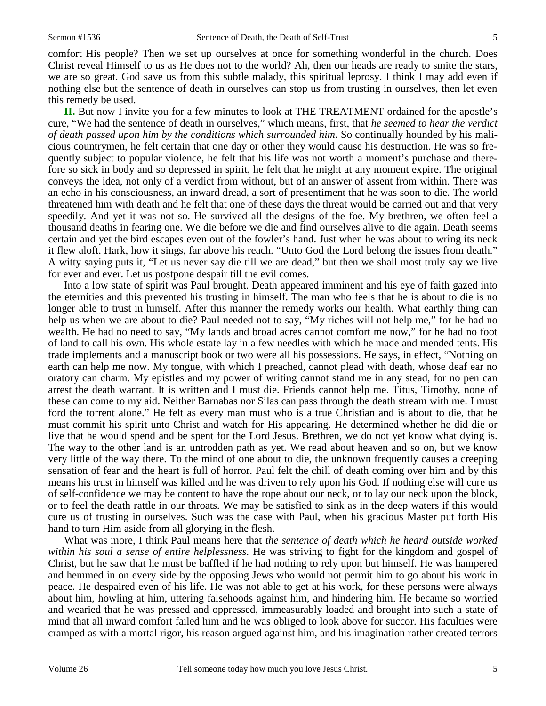comfort His people? Then we set up ourselves at once for something wonderful in the church. Does Christ reveal Himself to us as He does not to the world? Ah, then our heads are ready to smite the stars, we are so great. God save us from this subtle malady, this spiritual leprosy. I think I may add even if nothing else but the sentence of death in ourselves can stop us from trusting in ourselves, then let even this remedy be used.

 **II.** But now I invite you for a few minutes to look at THE TREATMENT ordained for the apostle's cure, "We had the sentence of death in ourselves," which means, first, that *he seemed to hear the verdict of death passed upon him by the conditions which surrounded him.* So continually hounded by his malicious countrymen, he felt certain that one day or other they would cause his destruction. He was so frequently subject to popular violence, he felt that his life was not worth a moment's purchase and therefore so sick in body and so depressed in spirit, he felt that he might at any moment expire. The original conveys the idea, not only of a verdict from without, but of an answer of assent from within. There was an echo in his consciousness, an inward dread, a sort of presentiment that he was soon to die. The world threatened him with death and he felt that one of these days the threat would be carried out and that very speedily. And yet it was not so. He survived all the designs of the foe. My brethren, we often feel a thousand deaths in fearing one. We die before we die and find ourselves alive to die again. Death seems certain and yet the bird escapes even out of the fowler's hand. Just when he was about to wring its neck it flew aloft. Hark, how it sings, far above his reach. "Unto God the Lord belong the issues from death." A witty saying puts it, "Let us never say die till we are dead," but then we shall most truly say we live for ever and ever. Let us postpone despair till the evil comes.

 Into a low state of spirit was Paul brought. Death appeared imminent and his eye of faith gazed into the eternities and this prevented his trusting in himself. The man who feels that he is about to die is no longer able to trust in himself. After this manner the remedy works our health. What earthly thing can help us when we are about to die? Paul needed not to say, "My riches will not help me," for he had no wealth. He had no need to say, "My lands and broad acres cannot comfort me now," for he had no foot of land to call his own. His whole estate lay in a few needles with which he made and mended tents. His trade implements and a manuscript book or two were all his possessions. He says, in effect, "Nothing on earth can help me now. My tongue, with which I preached, cannot plead with death, whose deaf ear no oratory can charm. My epistles and my power of writing cannot stand me in any stead, for no pen can arrest the death warrant. It is written and I must die. Friends cannot help me. Titus, Timothy, none of these can come to my aid. Neither Barnabas nor Silas can pass through the death stream with me. I must ford the torrent alone." He felt as every man must who is a true Christian and is about to die, that he must commit his spirit unto Christ and watch for His appearing. He determined whether he did die or live that he would spend and be spent for the Lord Jesus. Brethren, we do not yet know what dying is. The way to the other land is an untrodden path as yet. We read about heaven and so on, but we know very little of the way there. To the mind of one about to die, the unknown frequently causes a creeping sensation of fear and the heart is full of horror. Paul felt the chill of death coming over him and by this means his trust in himself was killed and he was driven to rely upon his God. If nothing else will cure us of self-confidence we may be content to have the rope about our neck, or to lay our neck upon the block, or to feel the death rattle in our throats. We may be satisfied to sink as in the deep waters if this would cure us of trusting in ourselves. Such was the case with Paul, when his gracious Master put forth His hand to turn Him aside from all glorying in the flesh.

 What was more, I think Paul means here that *the sentence of death which he heard outside worked within his soul a sense of entire helplessness.* He was striving to fight for the kingdom and gospel of Christ, but he saw that he must be baffled if he had nothing to rely upon but himself. He was hampered and hemmed in on every side by the opposing Jews who would not permit him to go about his work in peace. He despaired even of his life. He was not able to get at his work, for these persons were always about him, howling at him, uttering falsehoods against him, and hindering him. He became so worried and wearied that he was pressed and oppressed, immeasurably loaded and brought into such a state of mind that all inward comfort failed him and he was obliged to look above for succor. His faculties were cramped as with a mortal rigor, his reason argued against him, and his imagination rather created terrors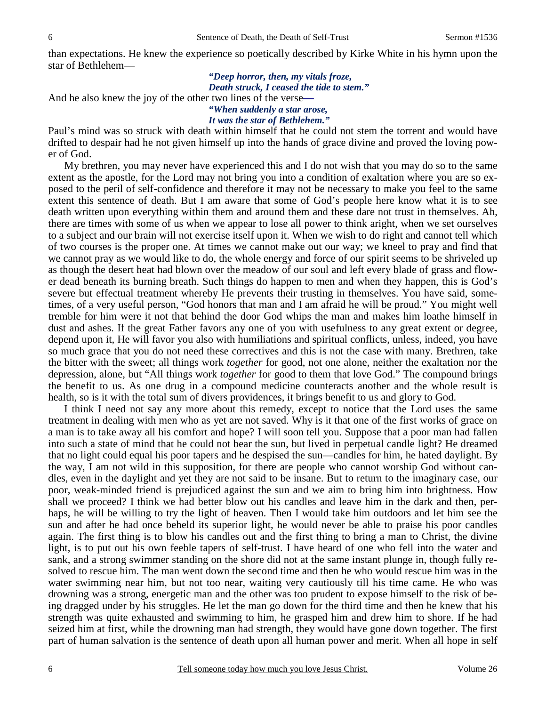than expectations. He knew the experience so poetically described by Kirke White in his hymn upon the star of Bethlehem—

# *"Deep horror, then, my vitals froze, Death struck, I ceased the tide to stem."*

And he also knew the joy of the other two lines of the verse**—** 

## *"When suddenly a star arose,*

#### *It was the star of Bethlehem."*

Paul's mind was so struck with death within himself that he could not stem the torrent and would have drifted to despair had he not given himself up into the hands of grace divine and proved the loving power of God.

 My brethren, you may never have experienced this and I do not wish that you may do so to the same extent as the apostle, for the Lord may not bring you into a condition of exaltation where you are so exposed to the peril of self-confidence and therefore it may not be necessary to make you feel to the same extent this sentence of death. But I am aware that some of God's people here know what it is to see death written upon everything within them and around them and these dare not trust in themselves. Ah, there are times with some of us when we appear to lose all power to think aright, when we set ourselves to a subject and our brain will not exercise itself upon it. When we wish to do right and cannot tell which of two courses is the proper one. At times we cannot make out our way; we kneel to pray and find that we cannot pray as we would like to do, the whole energy and force of our spirit seems to be shriveled up as though the desert heat had blown over the meadow of our soul and left every blade of grass and flower dead beneath its burning breath. Such things do happen to men and when they happen, this is God's severe but effectual treatment whereby He prevents their trusting in themselves. You have said, sometimes, of a very useful person, "God honors that man and I am afraid he will be proud." You might well tremble for him were it not that behind the door God whips the man and makes him loathe himself in dust and ashes. If the great Father favors any one of you with usefulness to any great extent or degree, depend upon it, He will favor you also with humiliations and spiritual conflicts, unless, indeed, you have so much grace that you do not need these correctives and this is not the case with many. Brethren, take the bitter with the sweet; all things work *together* for good, not one alone, neither the exaltation nor the depression, alone, but "All things work *together* for good to them that love God." The compound brings the benefit to us. As one drug in a compound medicine counteracts another and the whole result is health, so is it with the total sum of divers providences, it brings benefit to us and glory to God.

 I think I need not say any more about this remedy, except to notice that the Lord uses the same treatment in dealing with men who as yet are not saved. Why is it that one of the first works of grace on a man is to take away all his comfort and hope? I will soon tell you. Suppose that a poor man had fallen into such a state of mind that he could not bear the sun, but lived in perpetual candle light? He dreamed that no light could equal his poor tapers and he despised the sun—candles for him, he hated daylight. By the way, I am not wild in this supposition, for there are people who cannot worship God without candles, even in the daylight and yet they are not said to be insane. But to return to the imaginary case, our poor, weak-minded friend is prejudiced against the sun and we aim to bring him into brightness. How shall we proceed? I think we had better blow out his candles and leave him in the dark and then, perhaps, he will be willing to try the light of heaven. Then I would take him outdoors and let him see the sun and after he had once beheld its superior light, he would never be able to praise his poor candles again. The first thing is to blow his candles out and the first thing to bring a man to Christ, the divine light, is to put out his own feeble tapers of self-trust. I have heard of one who fell into the water and sank, and a strong swimmer standing on the shore did not at the same instant plunge in, though fully resolved to rescue him. The man went down the second time and then he who would rescue him was in the water swimming near him, but not too near, waiting very cautiously till his time came. He who was drowning was a strong, energetic man and the other was too prudent to expose himself to the risk of being dragged under by his struggles. He let the man go down for the third time and then he knew that his strength was quite exhausted and swimming to him, he grasped him and drew him to shore. If he had seized him at first, while the drowning man had strength, they would have gone down together. The first part of human salvation is the sentence of death upon all human power and merit. When all hope in self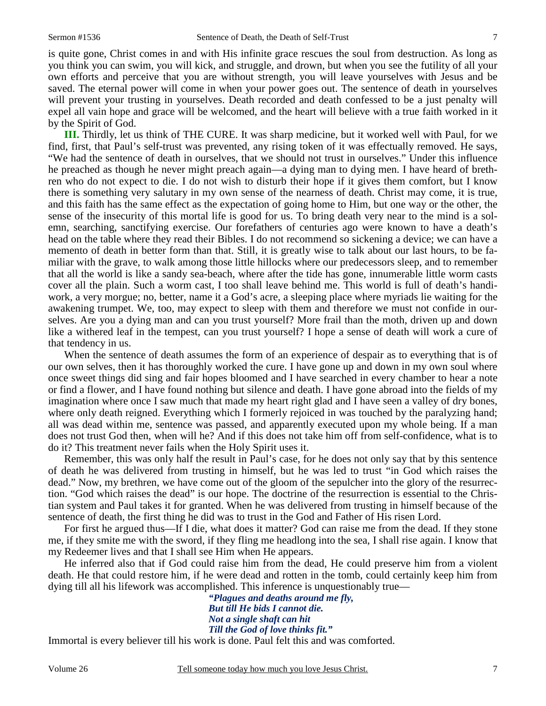is quite gone, Christ comes in and with His infinite grace rescues the soul from destruction. As long as you think you can swim, you will kick, and struggle, and drown, but when you see the futility of all your own efforts and perceive that you are without strength, you will leave yourselves with Jesus and be saved. The eternal power will come in when your power goes out. The sentence of death in yourselves will prevent your trusting in yourselves. Death recorded and death confessed to be a just penalty will expel all vain hope and grace will be welcomed, and the heart will believe with a true faith worked in it by the Spirit of God.

**III.** Thirdly, let us think of THE CURE. It was sharp medicine, but it worked well with Paul, for we find, first, that Paul's self-trust was prevented, any rising token of it was effectually removed. He says, "We had the sentence of death in ourselves, that we should not trust in ourselves." Under this influence he preached as though he never might preach again—a dying man to dying men. I have heard of brethren who do not expect to die. I do not wish to disturb their hope if it gives them comfort, but I know there is something very salutary in my own sense of the nearness of death. Christ may come, it is true, and this faith has the same effect as the expectation of going home to Him, but one way or the other, the sense of the insecurity of this mortal life is good for us. To bring death very near to the mind is a solemn, searching, sanctifying exercise. Our forefathers of centuries ago were known to have a death's head on the table where they read their Bibles. I do not recommend so sickening a device; we can have a memento of death in better form than that. Still, it is greatly wise to talk about our last hours, to be familiar with the grave, to walk among those little hillocks where our predecessors sleep, and to remember that all the world is like a sandy sea-beach, where after the tide has gone, innumerable little worm casts cover all the plain. Such a worm cast, I too shall leave behind me. This world is full of death's handiwork, a very morgue; no, better, name it a God's acre, a sleeping place where myriads lie waiting for the awakening trumpet. We, too, may expect to sleep with them and therefore we must not confide in ourselves. Are you a dying man and can you trust yourself? More frail than the moth, driven up and down like a withered leaf in the tempest, can you trust yourself? I hope a sense of death will work a cure of that tendency in us.

 When the sentence of death assumes the form of an experience of despair as to everything that is of our own selves, then it has thoroughly worked the cure. I have gone up and down in my own soul where once sweet things did sing and fair hopes bloomed and I have searched in every chamber to hear a note or find a flower, and I have found nothing but silence and death. I have gone abroad into the fields of my imagination where once I saw much that made my heart right glad and I have seen a valley of dry bones, where only death reigned. Everything which I formerly rejoiced in was touched by the paralyzing hand; all was dead within me, sentence was passed, and apparently executed upon my whole being. If a man does not trust God then, when will he? And if this does not take him off from self-confidence, what is to do it? This treatment never fails when the Holy Spirit uses it.

 Remember, this was only half the result in Paul's case, for he does not only say that by this sentence of death he was delivered from trusting in himself, but he was led to trust "in God which raises the dead." Now, my brethren, we have come out of the gloom of the sepulcher into the glory of the resurrection. "God which raises the dead" is our hope. The doctrine of the resurrection is essential to the Christian system and Paul takes it for granted. When he was delivered from trusting in himself because of the sentence of death, the first thing he did was to trust in the God and Father of His risen Lord.

 For first he argued thus—If I die, what does it matter? God can raise me from the dead. If they stone me, if they smite me with the sword, if they fling me headlong into the sea, I shall rise again. I know that my Redeemer lives and that I shall see Him when He appears.

 He inferred also that if God could raise him from the dead, He could preserve him from a violent death. He that could restore him, if he were dead and rotten in the tomb, could certainly keep him from dying till all his lifework was accomplished. This inference is unquestionably true—

*"Plagues and deaths around me fly, But till He bids I cannot die. Not a single shaft can hit Till the God of love thinks fit."*  Immortal is every believer till his work is done. Paul felt this and was comforted.